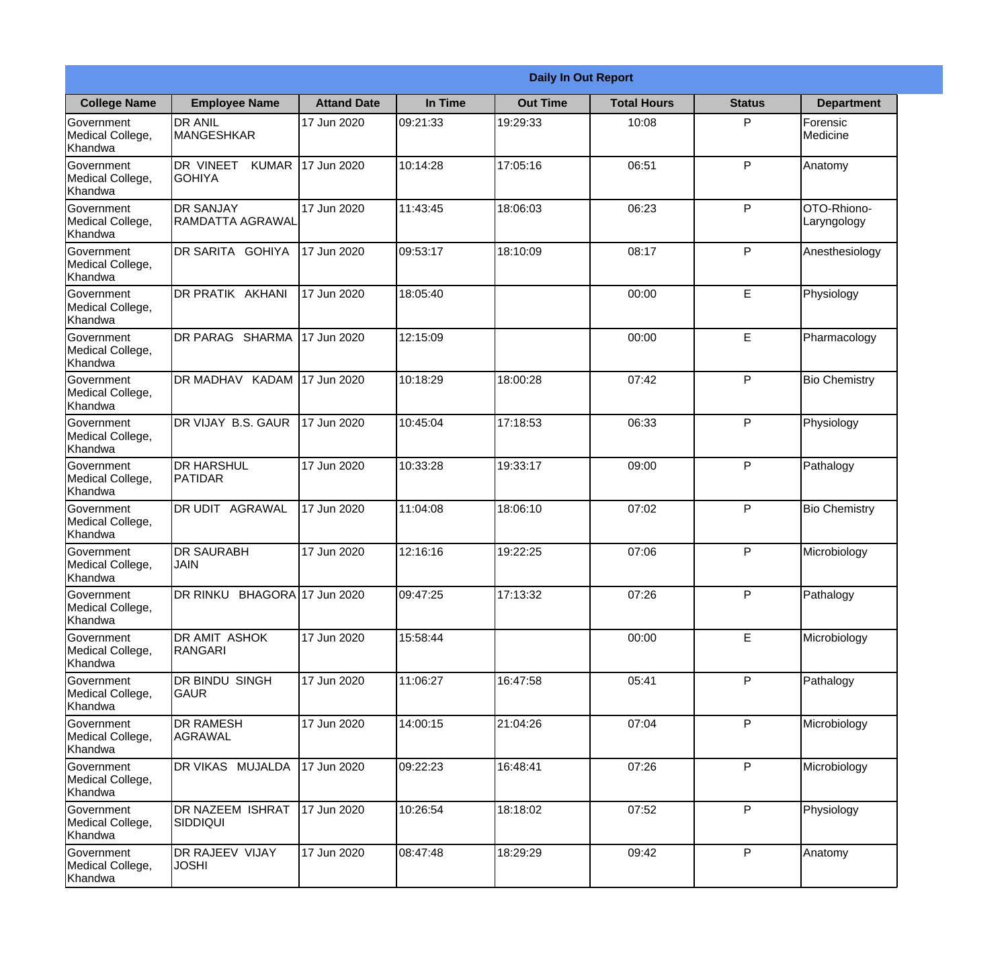|                                                  |                                            |                    |          | <b>Daily In Out Report</b> |                    |               |                            |
|--------------------------------------------------|--------------------------------------------|--------------------|----------|----------------------------|--------------------|---------------|----------------------------|
| <b>College Name</b>                              | <b>Employee Name</b>                       | <b>Attand Date</b> | In Time  | <b>Out Time</b>            | <b>Total Hours</b> | <b>Status</b> | <b>Department</b>          |
| Government<br>Medical College,<br>Khandwa        | <b>DR ANIL</b><br>MANGESHKAR               | 17 Jun 2020        | 09:21:33 | 19:29:33                   | 10:08              | P             | Forensic<br>Medicine       |
| Government<br>Medical College,<br>Khandwa        | DR VINEET<br><b>KUMAR</b><br><b>GOHIYA</b> | 17 Jun 2020        | 10:14:28 | 17:05:16                   | 06:51              | P             | Anatomy                    |
| <b>Government</b><br>Medical College,<br>Khandwa | <b>DR SANJAY</b><br>RAMDATTA AGRAWAL       | 17 Jun 2020        | 11:43:45 | 18:06:03                   | 06:23              | P             | OTO-Rhiono-<br>Laryngology |
| Government<br>Medical College,<br>Khandwa        | DR SARITA GOHIYA                           | 17 Jun 2020        | 09:53:17 | 18:10:09                   | 08:17              | P             | Anesthesiology             |
| Government<br>Medical College,<br>Khandwa        | <b>DR PRATIK AKHANI</b>                    | 17 Jun 2020        | 18:05:40 |                            | 00:00              | E             | Physiology                 |
| Government<br>Medical College,<br>Khandwa        | DR PARAG SHARMA                            | 17 Jun 2020        | 12:15:09 |                            | 00:00              | E             | Pharmacology               |
| Government<br>Medical College,<br>Khandwa        | DR MADHAV KADAM 17 Jun 2020                |                    | 10:18:29 | 18:00:28                   | 07:42              | P             | <b>Bio Chemistry</b>       |
| Government<br>Medical College,<br>Khandwa        | DR VIJAY B.S. GAUR                         | 17 Jun 2020        | 10:45:04 | 17:18:53                   | 06:33              | P             | Physiology                 |
| Government<br>Medical College,<br>Khandwa        | <b>DR HARSHUL</b><br>PATIDAR               | 17 Jun 2020        | 10:33:28 | 19:33:17                   | 09:00              | P             | Pathalogy                  |
| Government<br>Medical College,<br>Khandwa        | DR UDIT<br><b>AGRAWAL</b>                  | 17 Jun 2020        | 11:04:08 | 18:06:10                   | 07:02              | P             | <b>Bio Chemistry</b>       |
| Government<br>Medical College,<br>Khandwa        | <b>DR SAURABH</b><br><b>JAIN</b>           | 17 Jun 2020        | 12:16:16 | 19:22:25                   | 07:06              | $\mathsf{P}$  | Microbiology               |
| Government<br>Medical College,<br>Khandwa        | DR RINKU BHAGORA 17 Jun 2020               |                    | 09:47:25 | 17:13:32                   | 07:26              | P             | Pathalogy                  |
| Government<br>Medical College,<br>Khandwa        | DR AMIT ASHOK<br>RANGARI                   | 17 Jun 2020        | 15:58:44 |                            | 00:00              | E             | Microbiology               |
| Government<br>Medical College,<br>Khandwa        | DR BINDU SINGH<br>lgaur                    | 17 Jun 2020        | 11:06:27 | 16:47:58                   | 05:41              | P             | Pathalogy                  |
| Government<br>Medical College,<br>Khandwa        | <b>DR RAMESH</b><br><b>AGRAWAL</b>         | 17 Jun 2020        | 14:00:15 | 21:04:26                   | 07:04              | P             | Microbiology               |
| Government<br>Medical College,<br>Khandwa        | <b>DR VIKAS MUJALDA</b>                    | 17 Jun 2020        | 09:22:23 | 16:48:41                   | 07:26              | P             | Microbiology               |
| Government<br>Medical College,<br>Khandwa        | <b>DR NAZEEM ISHRAT</b><br><b>SIDDIQUI</b> | 17 Jun 2020        | 10:26:54 | 18:18:02                   | 07:52              | P             | Physiology                 |
| Government<br>Medical College,<br>Khandwa        | DR RAJEEV VIJAY<br><b>JOSHI</b>            | 17 Jun 2020        | 08:47:48 | 18:29:29                   | 09:42              | P             | Anatomy                    |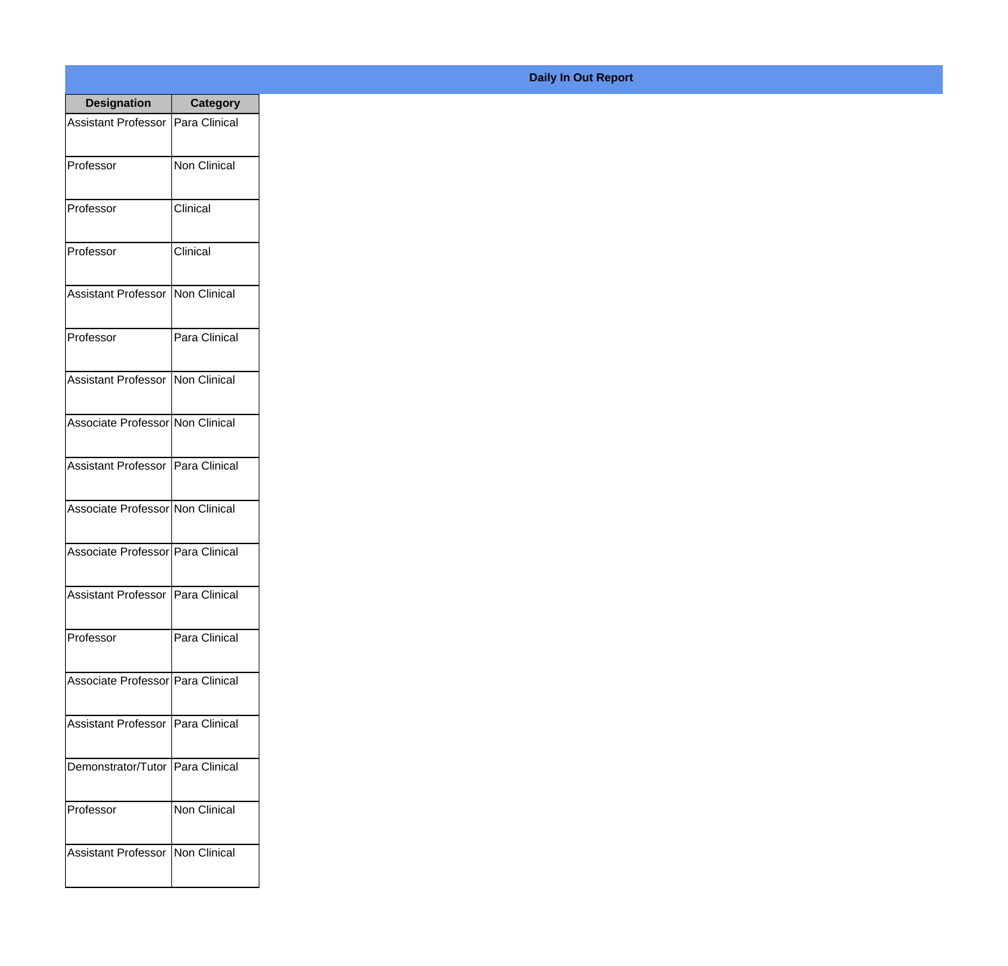| <b>Designation</b>                  | <b>Category</b>     |
|-------------------------------------|---------------------|
| Assistant Professor   Para Clinical |                     |
| Professor                           | <b>Non Clinical</b> |
| Professor                           | Clinical            |
| Professor                           | Clinical            |
| Assistant Professor   Non Clinical  |                     |
| Professor                           | Para Clinical       |
| Assistant Professor   Non Clinical  |                     |
| Associate Professor Non Clinical    |                     |
| Assistant Professor   Para Clinical |                     |
| Associate Professor Non Clinical    |                     |
| Associate Professor Para Clinical   |                     |
| Assistant Professor   Para Clinical |                     |
| Professor                           | Para Clinical       |
| Associate Professor Para Clinical   |                     |
| Assistant Professor   Para Clinical |                     |
| Demonstrator/Tutor   Para Clinical  |                     |
| Professor                           | <b>Non Clinical</b> |
| Assistant Professor   Non Clinical  |                     |

## **Daily In Out Report**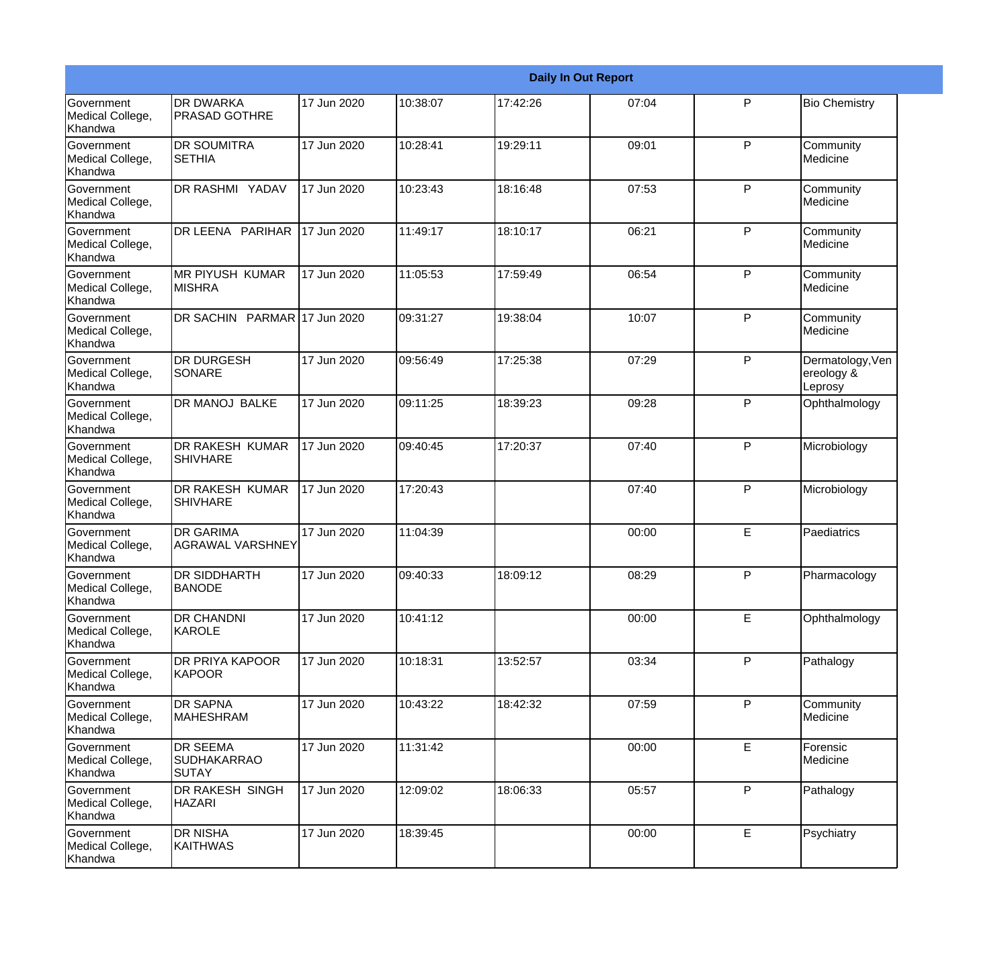|                                                  |                                                |             |          |          | <b>Daily In Out Report</b> |   |                                           |
|--------------------------------------------------|------------------------------------------------|-------------|----------|----------|----------------------------|---|-------------------------------------------|
| <b>Government</b><br>Medical College,<br>Khandwa | <b>DR DWARKA</b><br><b>PRASAD GOTHRE</b>       | 17 Jun 2020 | 10:38:07 | 17:42:26 | 07:04                      | P | <b>Bio Chemistry</b>                      |
| Government<br>Medical College,<br>Khandwa        | <b>DR SOUMITRA</b><br><b>SETHIA</b>            | 17 Jun 2020 | 10:28:41 | 19:29:11 | 09:01                      | P | Community<br>Medicine                     |
| <b>Government</b><br>Medical College,<br>Khandwa | <b>DR RASHMI YADAV</b>                         | 17 Jun 2020 | 10:23:43 | 18:16:48 | 07:53                      | P | Community<br>Medicine                     |
| <b>Government</b><br>Medical College,<br>Khandwa | DR LEENA PARIHAR                               | 17 Jun 2020 | 11:49:17 | 18:10:17 | 06:21                      | P | Community<br>Medicine                     |
| <b>Government</b><br>Medical College,<br>Khandwa | <b>MR PIYUSH KUMAR</b><br><b>MISHRA</b>        | 17 Jun 2020 | 11:05:53 | 17:59:49 | 06:54                      | P | Community<br>Medicine                     |
| Government<br>Medical College,<br><b>Khandwa</b> | DR SACHIN PARMAR 17 Jun 2020                   |             | 09:31:27 | 19:38:04 | 10:07                      | P | Community<br>Medicine                     |
| <b>Government</b><br>Medical College,<br>Khandwa | <b>DR DURGESH</b><br>SONARE                    | 17 Jun 2020 | 09:56:49 | 17:25:38 | 07:29                      | P | Dermatology, Ven<br>ereology &<br>Leprosy |
| <b>Government</b><br>Medical College,<br>Khandwa | <b>DR MANOJ BALKE</b>                          | 17 Jun 2020 | 09:11:25 | 18:39:23 | 09:28                      | P | Ophthalmology                             |
| Government<br>Medical College,<br>Khandwa        | <b>DR RAKESH KUMAR</b><br><b>SHIVHARE</b>      | 17 Jun 2020 | 09:40:45 | 17:20:37 | 07:40                      | P | Microbiology                              |
| <b>Government</b><br>Medical College,<br>Khandwa | <b>DR RAKESH KUMAR</b><br><b>SHIVHARE</b>      | 17 Jun 2020 | 17:20:43 |          | 07:40                      | P | Microbiology                              |
| <b>Government</b><br>Medical College,<br>Khandwa | <b>DR GARIMA</b><br>IAGRAWAL VARSHNEY          | 17 Jun 2020 | 11:04:39 |          | 00:00                      | E | Paediatrics                               |
| Government<br>Medical College,<br>Khandwa        | <b>DR SIDDHARTH</b><br><b>BANODE</b>           | 17 Jun 2020 | 09:40:33 | 18:09:12 | 08:29                      | P | Pharmacology                              |
| Government<br>Medical College,<br>Khandwa        | <b>DR CHANDNI</b><br>KAROLE                    | 17 Jun 2020 | 10:41:12 |          | 00:00                      | E | Ophthalmology                             |
| Government<br>Medical College,<br>Khandwa        | <b>DR PRIYA KAPOOR</b><br>KAPOOR               | 17 Jun 2020 | 10:18:31 | 13:52:57 | 03:34                      | P | Pathalogy                                 |
| Government<br>Medical College,<br>Khandwa        | <b>DR SAPNA</b><br><b>MAHESHRAM</b>            | 17 Jun 2020 | 10:43:22 | 18:42:32 | 07:59                      | P | Community<br>Medicine                     |
| Government<br>Medical College,<br>Khandwa        | <b>DR SEEMA</b><br><b>SUDHAKARRAO</b><br>SUTAY | 17 Jun 2020 | 11:31:42 |          | 00:00                      | E | Forensic<br>Medicine                      |
| Government<br>Medical College,<br>Khandwa        | DR RAKESH SINGH<br><b>HAZARI</b>               | 17 Jun 2020 | 12:09:02 | 18:06:33 | 05:57                      | P | Pathalogy                                 |
| Government<br>Medical College,<br>Khandwa        | <b>DR NISHA</b><br><b>KAITHWAS</b>             | 17 Jun 2020 | 18:39:45 |          | 00:00                      | E | Psychiatry                                |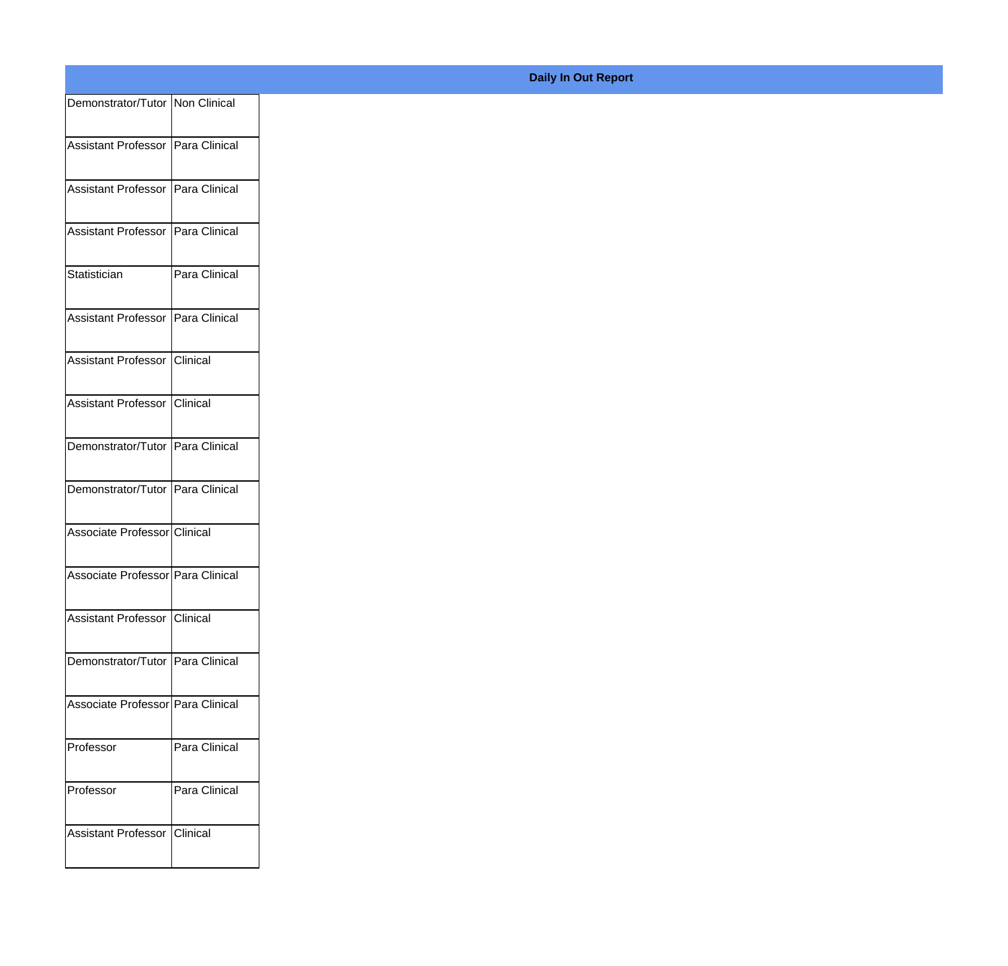| Demonstrator/Tutor Non Clinical   |               |
|-----------------------------------|---------------|
| Assistant Professor Para Clinical |               |
|                                   |               |
| Assistant Professor Para Clinical |               |
| Assistant Professor Para Clinical |               |
| Statistician                      | Para Clinical |
| Assistant Professor Para Clinical |               |
| Assistant Professor Clinical      |               |
| Assistant Professor Clinical      |               |
|                                   |               |
| Demonstrator/Tutor Para Clinical  |               |
| Demonstrator/Tutor Para Clinical  |               |
| Associate Professor Clinical      |               |
| Associate Professor Para Clinical |               |
| Assistant Professor Clinical      |               |
| Demonstrator/Tutor Para Clinical  |               |
| Associate Professor Para Clinical |               |
| Professor                         | Para Clinical |
|                                   |               |
| Professor                         | Para Clinical |
| Assistant Professor Clinical      |               |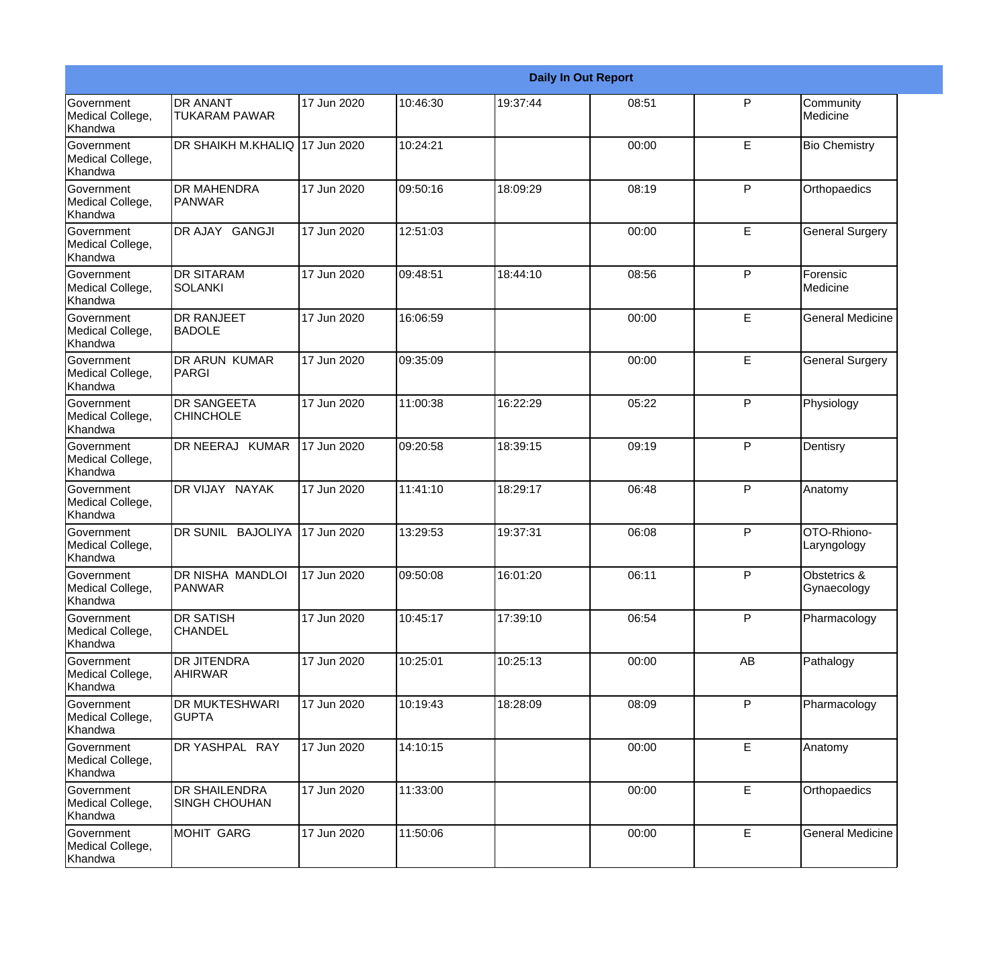|                                                         |                                         |             |          |          | <b>Daily In Out Report</b> |              |                             |
|---------------------------------------------------------|-----------------------------------------|-------------|----------|----------|----------------------------|--------------|-----------------------------|
| <b>Government</b><br>Medical College,<br>Khandwa        | <b>DR ANANT</b><br><b>TUKARAM PAWAR</b> | 17 Jun 2020 | 10:46:30 | 19:37:44 | 08:51                      | $\mathsf{P}$ | Community<br>Medicine       |
| <b>Government</b><br>Medical College,<br>Khandwa        | DR SHAIKH M.KHALIQ 17 Jun 2020          |             | 10:24:21 |          | 00:00                      | E            | <b>Bio Chemistry</b>        |
| <b>Government</b><br>Medical College,<br>Khandwa        | <b>DR MAHENDRA</b><br><b>PANWAR</b>     | 17 Jun 2020 | 09:50:16 | 18:09:29 | 08:19                      | P            | Orthopaedics                |
| <b>Government</b><br>Medical College,<br>Khandwa        | DR AJAY GANGJI                          | 17 Jun 2020 | 12:51:03 |          | 00:00                      | E            | <b>General Surgery</b>      |
| Government<br>Medical College,<br>Khandwa               | <b>DR SITARAM</b><br><b>SOLANKI</b>     | 17 Jun 2020 | 09:48:51 | 18:44:10 | 08:56                      | P            | Forensic<br>Medicine        |
| <b>Government</b><br>Medical College,<br><b>Khandwa</b> | <b>DR RANJEET</b><br><b>BADOLE</b>      | 17 Jun 2020 | 16:06:59 |          | 00:00                      | E            | <b>General Medicine</b>     |
| Government<br>Medical College,<br>Khandwa               | <b>DR ARUN KUMAR</b><br><b>PARGI</b>    | 17 Jun 2020 | 09:35:09 |          | 00:00                      | E            | <b>General Surgery</b>      |
| Government<br>Medical College,<br>Khandwa               | <b>DR SANGEETA</b><br><b>CHINCHOLE</b>  | 17 Jun 2020 | 11:00:38 | 16:22:29 | 05:22                      | $\mathsf{P}$ | Physiology                  |
| Government<br>Medical College,<br>Khandwa               | DR NEERAJ KUMAR                         | 17 Jun 2020 | 09:20:58 | 18:39:15 | 09:19                      | $\mathsf{P}$ | Dentisry                    |
| <b>Government</b><br>Medical College,<br>Khandwa        | DR VIJAY NAYAK                          | 17 Jun 2020 | 11:41:10 | 18:29:17 | 06:48                      | $\mathsf{P}$ | Anatomy                     |
| <b>Government</b><br>Medical College,<br>Khandwa        | DR SUNIL BAJOLIYA                       | 17 Jun 2020 | 13:29:53 | 19:37:31 | 06:08                      | P            | OTO-Rhiono-<br>Laryngology  |
| Government<br>Medical College,<br>Khandwa               | DR NISHA MANDLOI<br><b>PANWAR</b>       | 17 Jun 2020 | 09:50:08 | 16:01:20 | 06:11                      | $\mathsf{P}$ | Obstetrics &<br>Gynaecology |
| Government<br>Medical College,<br>Khandwa               | <b>DR SATISH</b><br><b>CHANDEL</b>      | 17 Jun 2020 | 10:45:17 | 17:39:10 | 06:54                      | $\mathsf{P}$ | Pharmacology                |
| Government<br>Medical College,<br>Khandwa               | DR JITENDRA<br><b>AHIRWAR</b>           | 17 Jun 2020 | 10:25:01 | 10:25:13 | 00:00                      | AB           | Pathalogy                   |
| Government<br>Medical College,<br>Khandwa               | <b>DR MUKTESHWARI</b><br><b>GUPTA</b>   | 17 Jun 2020 | 10:19:43 | 18:28:09 | 08:09                      | P            | Pharmacology                |
| Government<br>Medical College,<br>Khandwa               | DR YASHPAL RAY                          | 17 Jun 2020 | 14:10:15 |          | 00:00                      | E            | Anatomy                     |
| Government<br>Medical College,<br>Khandwa               | DR SHAILENDRA<br><b>SINGH CHOUHAN</b>   | 17 Jun 2020 | 11:33:00 |          | 00:00                      | E            | Orthopaedics                |
| Government<br>Medical College,<br>Khandwa               | MOHIT GARG                              | 17 Jun 2020 | 11:50:06 |          | 00:00                      | E            | <b>General Medicine</b>     |